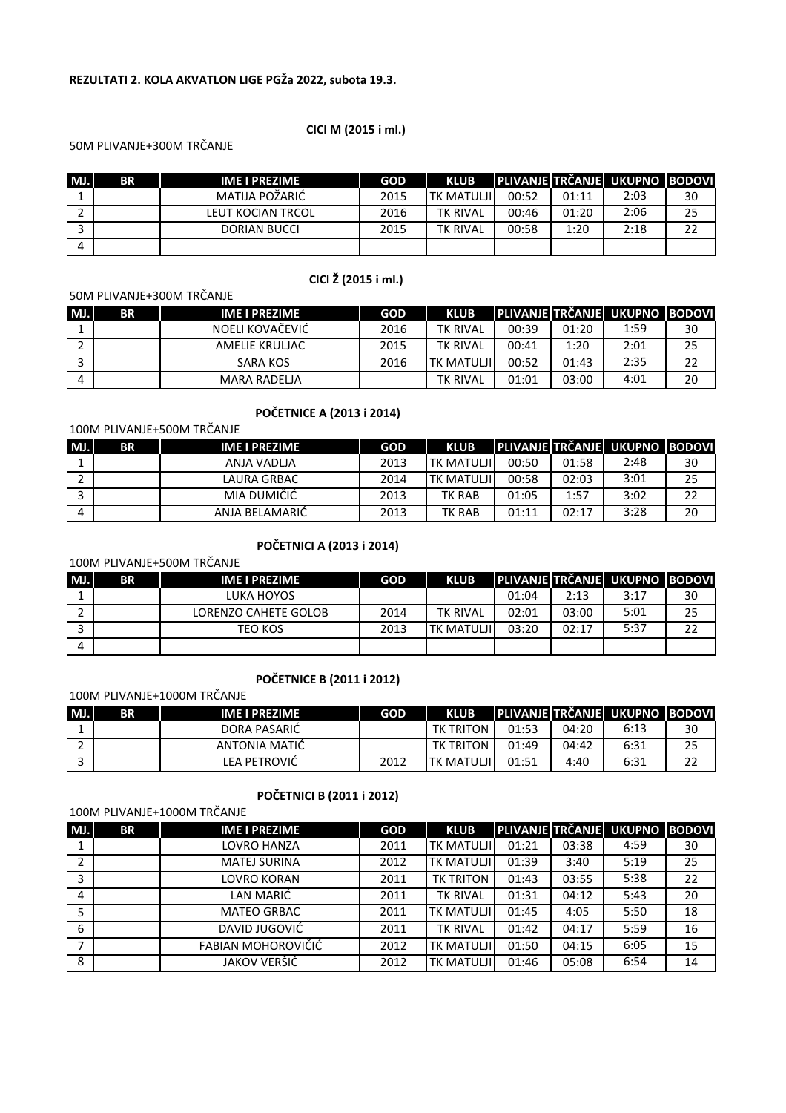## REZULTATI 2. KOLA AKVATLON LIGE PGŽa 2022, subota 19.3.

#### CICI M (2015 i ml.)

CICI Ž (2015 i ml.)

## 50M PLIVANJE+300M TRČANJE

| MJ. | <b>BR</b> | IME I PREZIME     | <b>GOD</b> | <b>KLUB</b>       |       |       | PLIVANJE TRČANJE UKUPNO BODOVI |    |
|-----|-----------|-------------------|------------|-------------------|-------|-------|--------------------------------|----|
|     |           | MATIJA POŽARIĆ    | 2015       | <b>TK MATULII</b> | 00:52 | 01:11 | 2:03                           | 30 |
|     |           | LEUT KOCIAN TRCOL | 2016       | <b>TK RIVAL</b>   | 00:46 | 01:20 | 2:06                           | 25 |
|     |           | DORIAN BUCCI      | 2015       | <b>TK RIVAL</b>   | 00:58 | 1:20  | 2:18                           | 22 |
|     |           |                   |            |                   |       |       |                                |    |

# 50M PLIVANJE+300M TRČANJE

# MJ. BR | IME I PREZIME | GOD | KLUB PLIVANJE TRČANJE UKUPNO BODOVI 1 NOELI KOVAČEVIĆ 2016 TK RIVAL 00:39 01:20 1:59 30 2 AMELIE KRULJAC 2015 | TK RIVAL | 00:41 | 1:20 | 2:01 | 25 3 SARA KOS 2016 TK MATULJI 00:52 01:43 2:35 22 4 | MARA RADELJA | TK RIVAL | 01:01 | 03:00 | 4:01 | 20

# POČETNICE A (2013 i 2014)

#### 100M PLIVANJE+500M TRČANJE

| MJ.      | ΒR | IME I PREZIME  | <b>GOD</b> | <b>KLUB</b>       |       |       | <b>PLIVANJE TRČANJE UKUPNO BODOVI</b> |    |
|----------|----|----------------|------------|-------------------|-------|-------|---------------------------------------|----|
|          |    | ANJA VADLJA    | 2013       | TK MATULJII       | 00:50 | 01:58 | 2:48                                  | 30 |
|          |    | LAURA GRBAC    | 2014       | <b>TK MATULII</b> | 00:58 | 02:03 | 3:01                                  | 25 |
|          |    | MIA DUMIČIĆ    | 2013       | TK RAB            | 01:05 | 1:57  | 3:02                                  | 22 |
| $\Delta$ |    | ANJA BELAMARIC | 2013       | <b>TK RAB</b>     | 01:11 | 02:17 | 3:28                                  | 20 |

# POČETNICI A (2013 i 2014)

100M PLIVANJE+500M TRČANJE

| MJ.      | <b>BR</b> | <b>IME I PREZIME</b> | <b>GOD</b> | <b>KLUB</b>        |       |       | <b>PLIVANJE TRČANJE UKUPNO BODOVI</b> |    |
|----------|-----------|----------------------|------------|--------------------|-------|-------|---------------------------------------|----|
|          |           | LUKA HOYOS           |            |                    | 01:04 | 2:13  | 3:17                                  | 30 |
|          |           | LORENZO CAHETE GOLOB | 2014       | <b>TK RIVAL</b>    | 02:01 | 03:00 | 5:01                                  | 25 |
|          |           | TEO KOS              | 2013       | <b>TK MATULJII</b> | 03:20 | 02:17 | 5:37                                  |    |
| $\Delta$ |           |                      |            |                    |       |       |                                       |    |

#### POČETNICE B (2011 i 2012)

#### 100M PLIVANJE+1000M TRČANJE

| MJ. | ΒR | IME I PREZIME | <b>GOD</b> | <b>KLUB</b>       |       |       | <b>PLIVANJE TRČANJE UKUPNO BODOVI</b> |    |
|-----|----|---------------|------------|-------------------|-------|-------|---------------------------------------|----|
|     |    | DORA PASARIC  |            | TK TRITON         | 01:53 | 04:20 | 6:13                                  | 30 |
|     |    | ANTONIA MATIČ |            | <b>TK TRITON</b>  | 01:49 | 04:42 | 6:31                                  | 25 |
|     |    | LEA PETROVIĆ  | 2012       | <b>TK MATULJI</b> | 01:51 | 4:40  | 6:31                                  | າາ |

# POČETNICI B (2011 i 2012)

100M PLIVANJE+1000M TRČANJE

| MJ. | <b>BR</b> | <b>IME I PREZIME</b> | <b>GOD</b> | <b>KLUB</b>       |       |       | PLIVANJE TRČANJE UKUPNO BODOVI |    |
|-----|-----------|----------------------|------------|-------------------|-------|-------|--------------------------------|----|
|     |           | LOVRO HANZA          | 2011       | <b>TK MATULJI</b> | 01:21 | 03:38 | 4:59                           | 30 |
|     |           | <b>MATEJ SURINA</b>  | 2012       | <b>TK MATULJI</b> | 01:39 | 3:40  | 5:19                           | 25 |
| 3   |           | LOVRO KORAN          | 2011       | <b>TK TRITON</b>  | 01:43 | 03:55 | 5:38                           | 22 |
| 4   |           | LAN MARIĆ            | 2011       | <b>TK RIVAL</b>   | 01:31 | 04:12 | 5:43                           | 20 |
|     |           | <b>MATEO GRBAC</b>   | 2011       | <b>TK MATULJI</b> | 01:45 | 4:05  | 5:50                           | 18 |
| 6   |           | DAVID JUGOVIĆ        | 2011       | <b>TK RIVAL</b>   | 01:42 | 04:17 | 5:59                           | 16 |
|     |           | FABIAN MOHOROVIČIĆ   | 2012       | <b>TK MATULJI</b> | 01:50 | 04:15 | 6:05                           | 15 |
| 8   |           | JAKOV VERŠIĆ         | 2012       | <b>TK MATULJI</b> | 01:46 | 05:08 | 6:54                           | 14 |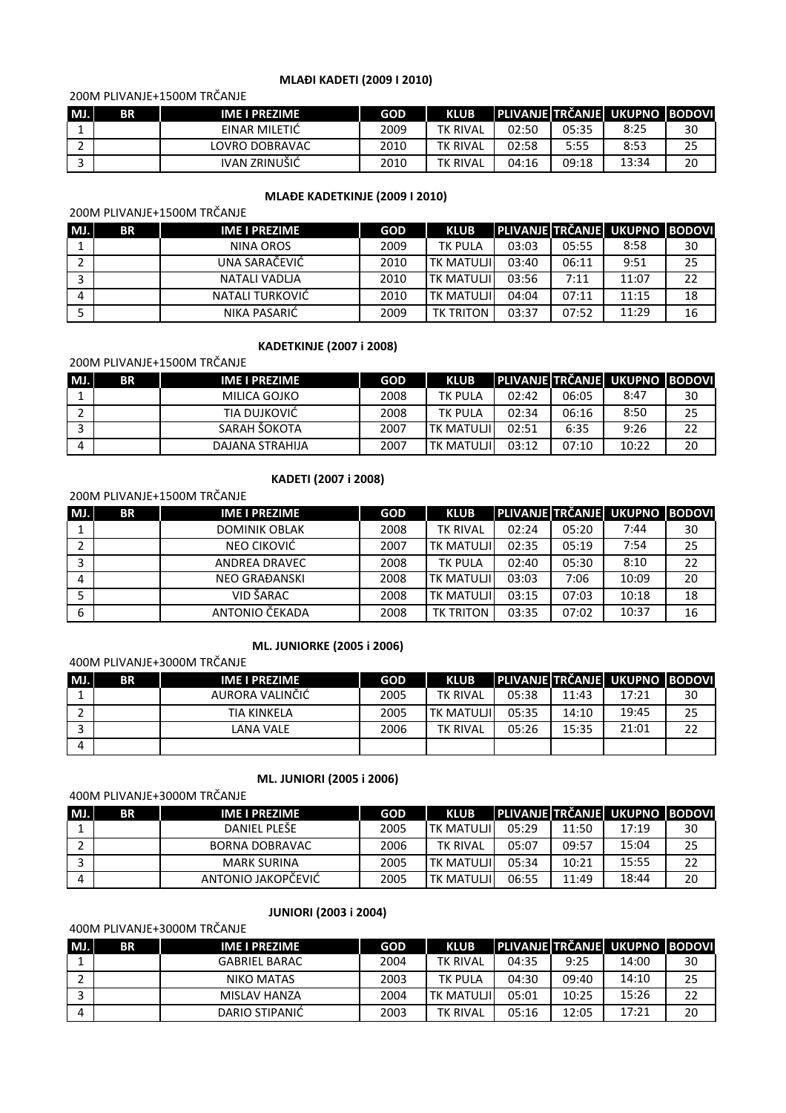### MLAĐI KADETI (2009 I 2010)

# 200M PLIVANJE+1500M TRČANJE

| MJ. | BR | <b>IME I PREZIME</b> | <b>GOD</b> | <b>KLUB</b>     |       |       | <b>IPLIVANJE TRČANJE I UKUPNO IBODOVIL</b> |    |
|-----|----|----------------------|------------|-----------------|-------|-------|--------------------------------------------|----|
|     |    | EINAR MILETIC        | 2009       | <b>TK RIVAL</b> | 02:50 | 05:35 | 8:25                                       | 30 |
|     |    | LOVRO DOBRAVAC       | 2010       | <b>TK RIVAL</b> | 02:58 | 5:55  | 8:53                                       | 25 |
|     |    | IVAN ZRINUŠIĆ        | 2010       | <b>TK RIVAL</b> | 04:16 | 09:18 | 13:34                                      | 20 |

#### MLAĐE KADETKINJE (2009 I 2010)

## 200M PLIVANJE+1500M TRČANJE

| MJ. | <b>BR</b> | IME I PREZIME   | <b>GOD</b> | <b>KLUB</b>       |       |       | PLIVANJE TRČANJE UKUPNO BODOVI |    |
|-----|-----------|-----------------|------------|-------------------|-------|-------|--------------------------------|----|
|     |           | NINA OROS       | 2009       | <b>TK PULA</b>    | 03:03 | 05:55 | 8:58                           | 30 |
|     |           | UNA SARAČEVIĆ   | 2010       | <b>TK MATULJI</b> | 03:40 | 06:11 | 9:51                           | 25 |
|     |           | NATALI VADLJA   | 2010       | <b>TK MATULJI</b> | 03:56 | 7:11  | 11:07                          | 22 |
| 4   |           | NATALI TURKOVIĆ | 2010       | <b>TK MATULJI</b> | 04:04 | 07:11 | 11:15                          | 18 |
|     |           | NIKA PASARIĆ    | 2009       | <b>TK TRITON</b>  | 03:37 | 07:52 | 11:29                          | 16 |

## KADETKINJE (2007 i 2008)

# 200M PLIVANJE+1500M TRČANJE

| MJ. | <b>BR</b> | <b>IME I PREZIME</b> | <b>GOD</b> | <b>KLUB</b>       |       |       | <b>IPLIVANJE TRČANJE I UKUPNO IBODOVI</b> |    |
|-----|-----------|----------------------|------------|-------------------|-------|-------|-------------------------------------------|----|
|     |           | MILICA GOJKO         | 2008       | <b>TK PULA</b>    | 02:42 | 06:05 | 8:47                                      | 30 |
|     |           | TIA DUJKOVIĆ         | 2008       | <b>TK PULA</b>    | 02:34 | 06:16 | 8:50                                      | 25 |
|     |           | SARAH SOKOTA         | 2007       | <b>TK MATULJI</b> | 02:51 | 6:35  | 9:26                                      | 22 |
| Д   |           | DAJANA STRAHIJA      | 2007       | <b>TK MATULII</b> | 03:12 | 07:10 | 10:22                                     | 20 |

#### KADETI (2007 i 2008)

#### 200M PLIVANJE+1500M TRČANJE

| MJ. | <b>BR</b> | <b>IME I PREZIME</b> | <b>GOD</b> | <b>KLUB</b>       |       |       | PLIVANJE TRČANJE UKUPNO BODOVI |    |
|-----|-----------|----------------------|------------|-------------------|-------|-------|--------------------------------|----|
|     |           | <b>DOMINIK OBLAK</b> | 2008       | <b>TK RIVAL</b>   | 02:24 | 05:20 | 7:44                           | 30 |
|     |           | NEO CIKOVIĆ          | 2007       | <b>TK MATULJI</b> | 02:35 | 05:19 | 7:54                           | 25 |
| ∍   |           | ANDREA DRAVEC        | 2008       | <b>TK PULA</b>    | 02:40 | 05:30 | 8:10                           | 22 |
| 4   |           | <b>NEO GRAĐANSKI</b> | 2008       | <b>TK MATULJI</b> | 03:03 | 7:06  | 10:09                          | 20 |
|     |           | VID ŠARAC            | 2008       | <b>TK MATULJI</b> | 03:15 | 07:03 | 10:18                          | 18 |
| 6   |           | ANTONIO ČEKADA       | 2008       | TK TRITON         | 03:35 | 07:02 | 10:37                          | 16 |

## ML. JUNIORKE (2005 i 2006)

#### 400M PLIVANJE+3000M TRČANJE

| MJ. | <b>BR</b> | IME I PREZIME      | <b>GOD</b> | <b>KLUB</b>       |       |       | PLIVANJE TRČANJE UKUPNO BODOVI |    |
|-----|-----------|--------------------|------------|-------------------|-------|-------|--------------------------------|----|
|     |           | AURORA VALINČIĆ    | 2005       | <b>TK RIVAL</b>   | 05:38 | 11:43 | 17:21                          | 30 |
|     |           | <b>TIA KINKELA</b> | 2005       | <b>TK MATULJI</b> | 05:35 | 14:10 | 19:45                          | 25 |
|     |           | LANA VALE          | 2006       | <b>TK RIVAL</b>   | 05:26 | 15:35 | 21:01                          | 22 |
|     |           |                    |            |                   |       |       |                                |    |

## ML. JUNIORI (2005 i 2006)

#### 400M PLIVANJE+3000M TRČANJE

| MJ. | <b>BR</b> | <b>IME I PREZIME</b>  | <b>GOD</b> | <b>KLUB</b>       |       |       | ' PLIVANJE TRČANJE  UKUPNO  BODOVI |    |
|-----|-----------|-----------------------|------------|-------------------|-------|-------|------------------------------------|----|
|     |           | DANIEL PLEŠE          | 2005       | <b>TK MATULJI</b> | 05:29 | 11:50 | 17:19                              | 30 |
|     |           | <b>BORNA DOBRAVAC</b> | 2006       | <b>TK RIVAL</b>   | 05:07 | 09:57 | 15:04                              | 25 |
|     |           | <b>MARK SURINA</b>    | 2005       | <b>TK MATULJI</b> | 05:34 | 10:21 | 15:55                              | 22 |
|     |           | ANTONIO JAKOPĆEVIĆ    | 2005       | <b>TK MATULII</b> | 06:55 | 11:49 | 18:44                              | 20 |

#### JUNIORI (2003 i 2004)

## 400M PLIVANJE+3000M TRČANJE

| MJ. | ΒR | <b>IME I PREZIME</b> | <b>GOD</b> | <b>KLUB</b>         |       |       | I PLIVANJE I TRČANJEL UKUPNO I BODOVIL |    |
|-----|----|----------------------|------------|---------------------|-------|-------|----------------------------------------|----|
|     |    | <b>GABRIEL BARAC</b> | 2004       | <b>TK RIVAL</b>     | 04:35 | 9:25  | 14:00                                  | 30 |
|     |    | NIKO MATAS           | 2003       | <b>TK PULA</b>      | 04:30 | 09:40 | 14:10                                  | 25 |
|     |    | MISLAV HANZA         | 2004       | <b>I TK MATULJI</b> | 05:01 | 10:25 | 15:26                                  | 22 |
|     |    | DARIO STIPANIC       | 2003       | <b>TK RIVAL</b>     | 05:16 | 12:05 | 17:21                                  | 20 |